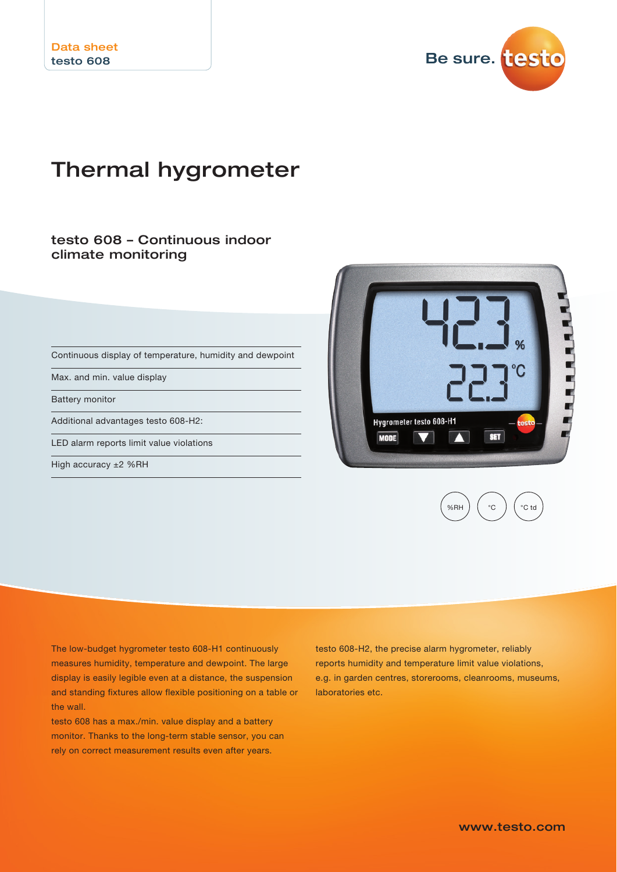

# Thermal hygrometer

## testo 608 – Continuous indoor climate monitoring

Continuous display of temperature, humidity and dewpoint

Max. and min. value display

Battery monitor

Additional advantages testo 608-H2:

LED alarm reports limit value violations

High accuracy ±2 %RH





The low-budget hygrometer testo 608-H1 continuously measures humidity, temperature and dewpoint. The large display is easily legible even at a distance, the suspension and standing fixtures allow flexible positioning on a table or the wall.

testo 608 has a max./min. value display and a battery monitor. Thanks to the long-term stable sensor, you can rely on correct measurement results even after years.

testo 608-H2, the precise alarm hygrometer, reliably reports humidity and temperature limit value violations, e.g. in garden centres, storerooms, cleanrooms, museums, laboratories etc.